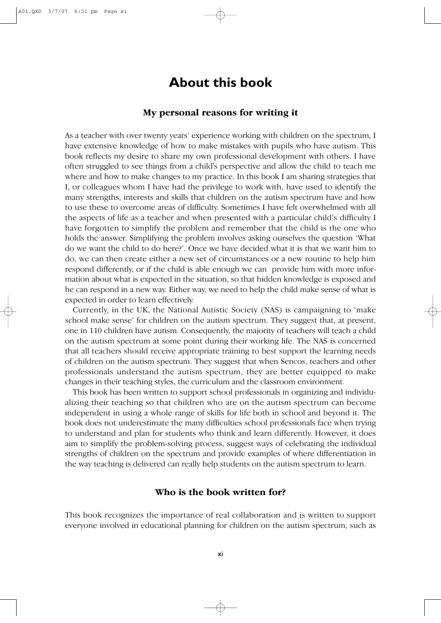# **About this book**

# **My personal reasons for writing it**

As a teacher with over twenty years' experience working with children on the spectrum, I have extensive knowledge of how to make mistakes with pupils who have autism. This book reflects my desire to share my own professional development with others. I have often struggled to see things from a child's perspective and allow the child to teach me where and how to make changes to my practice. In this book I am sharing strategies that I, or colleagues whom I have had the privilege to work with, have used to identify the many strengths, interests and skills that children on the autism spectrum have and how to use these to overcome areas of difficulty. Sometimes I have felt overwhelmed with all the aspects of life as a teacher and when presented with a particular child's difficulty I have forgotten to simplify the problem and remember that the child is the one who holds the answer. Simplifying the problem involves asking ourselves the question 'What do we want the child to do here?'. Once we have decided what it is that we want him to do, we can then create either a new set of circumstances or a new routine to help him respond differently, or if the child is able enough we can provide him with more information about what is expected in the situation, so that hidden knowledge is exposed and he can respond in a new way. Either way, we need to help the child make sense of what is expected in order to learn effectively.

Currently, in the UK, the National Autistic Society (NAS) is campaigning to 'make school make sense' for children on the autism spectrum. They suggest that, at present, one in 110 children have autism. Consequently, the majority of teachers will teach a child on the autism spectrum at some point during their working life. The NAS is concerned that all teachers should receive appropriate training to best support the learning needs of children on the autism spectrum. They suggest that when Sencos, teachers and other professionals understand the autism spectrum, they are better equipped to make changes in their teaching styles, the curriculum and the classroom environment.

This book has been written to support school professionals in organizing and individualizing their teaching so that children who are on the autism spectrum can become independent in using a whole range of skills for life both in school and beyond it. The book does not underestimate the many difficulties school professionals face when trying to understand and plan for students who think and learn differently. However, it does aim to simplify the problem-solving process, suggest ways of celebrating the individual strengths of children on the spectrum and provide examples of where differentiation in the way teaching is delivered can really help students on the autism spectrum to learn.

# **Who is the book written for?**

This book recognizes the importance of real collaboration and is written to support everyone involved in educational planning for children on the autism spectrum, such as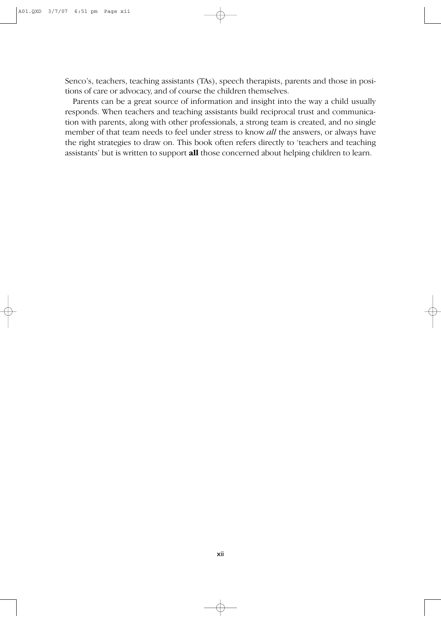Senco's, teachers, teaching assistants (TAs), speech therapists, parents and those in positions of care or advocacy, and of course the children themselves.

Parents can be a great source of information and insight into the way a child usually responds. When teachers and teaching assistants build reciprocal trust and communication with parents, along with other professionals, a strong team is created, and no single member of that team needs to feel under stress to know *all* the answers, or always have the right strategies to draw on. This book often refers directly to 'teachers and teaching assistants' but is written to support **all** those concerned about helping children to learn.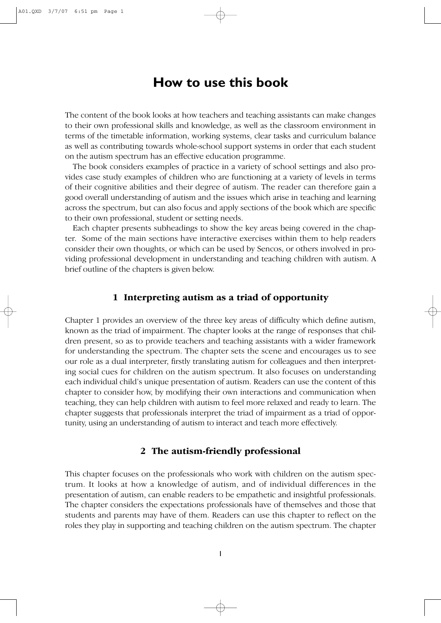# **How to use this book**

The content of the book looks at how teachers and teaching assistants can make changes to their own professional skills and knowledge, as well as the classroom environment in terms of the timetable information, working systems, clear tasks and curriculum balance as well as contributing towards whole-school support systems in order that each student on the autism spectrum has an effective education programme.

The book considers examples of practice in a variety of school settings and also provides case study examples of children who are functioning at a variety of levels in terms of their cognitive abilities and their degree of autism. The reader can therefore gain a good overall understanding of autism and the issues which arise in teaching and learning across the spectrum, but can also focus and apply sections of the book which are specific to their own professional, student or setting needs.

Each chapter presents subheadings to show the key areas being covered in the chapter. Some of the main sections have interactive exercises within them to help readers consider their own thoughts, or which can be used by Sencos, or others involved in providing professional development in understanding and teaching children with autism. A brief outline of the chapters is given below.

# **1 Interpreting autism as a triad of opportunity**

Chapter 1 provides an overview of the three key areas of difficulty which define autism, known as the triad of impairment. The chapter looks at the range of responses that children present, so as to provide teachers and teaching assistants with a wider framework for understanding the spectrum. The chapter sets the scene and encourages us to see our role as a dual interpreter, firstly translating autism for colleagues and then interpreting social cues for children on the autism spectrum. It also focuses on understanding each individual child's unique presentation of autism. Readers can use the content of this chapter to consider how, by modifying their own interactions and communication when teaching, they can help children with autism to feel more relaxed and ready to learn. The chapter suggests that professionals interpret the triad of impairment as a triad of opportunity, using an understanding of autism to interact and teach more effectively.

### **2 The autism-friendly professional**

This chapter focuses on the professionals who work with children on the autism spectrum. It looks at how a knowledge of autism, and of individual differences in the presentation of autism, can enable readers to be empathetic and insightful professionals. The chapter considers the expectations professionals have of themselves and those that students and parents may have of them. Readers can use this chapter to reflect on the roles they play in supporting and teaching children on the autism spectrum. The chapter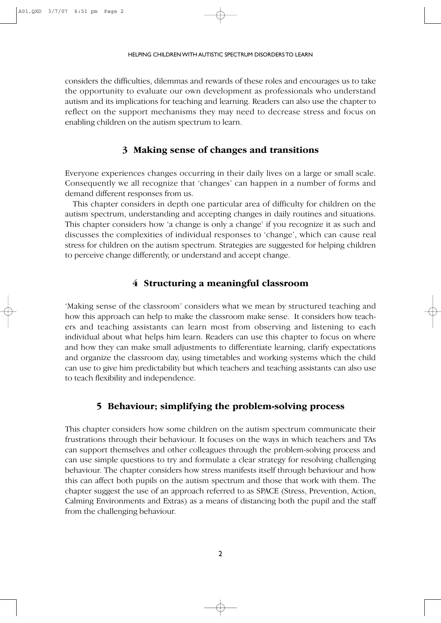#### HELPING CHILDREN WITH AUTISTIC SPECTRUM DISORDERS TO LEARN

considers the difficulties, dilemmas and rewards of these roles and encourages us to take the opportunity to evaluate our own development as professionals who understand autism and its implications for teaching and learning. Readers can also use the chapter to reflect on the support mechanisms they may need to decrease stress and focus on enabling children on the autism spectrum to learn.

# **3 Making sense of changes and transitions**

Everyone experiences changes occurring in their daily lives on a large or small scale. Consequently we all recognize that 'changes' can happen in a number of forms and demand different responses from us.

This chapter considers in depth one particular area of difficulty for children on the autism spectrum, understanding and accepting changes in daily routines and situations. This chapter considers how 'a change is only a change' if you recognize it as such and discusses the complexities of individual responses to 'change', which can cause real stress for children on the autism spectrum. Strategies are suggested for helping children to perceive change differently, or understand and accept change.

## **4 Structuring a meaningful classroom**

'Making sense of the classroom' considers what we mean by structured teaching and how this approach can help to make the classroom make sense. It considers how teachers and teaching assistants can learn most from observing and listening to each individual about what helps him learn. Readers can use this chapter to focus on where and how they can make small adjustments to differentiate learning, clarify expectations and organize the classroom day, using timetables and working systems which the child can use to give him predictability but which teachers and teaching assistants can also use to teach flexibility and independence.

## **5 Behaviour; simplifying the problem-solving process**

This chapter considers how some children on the autism spectrum communicate their frustrations through their behaviour. It focuses on the ways in which teachers and TAs can support themselves and other colleagues through the problem-solving process and can use simple questions to try and formulate a clear strategy for resolving challenging behaviour. The chapter considers how stress manifests itself through behaviour and how this can affect both pupils on the autism spectrum and those that work with them. The chapter suggest the use of an approach referred to as SPACE (Stress, Prevention, Action, Calming Environments and Extras) as a means of distancing both the pupil and the staff from the challenging behaviour.